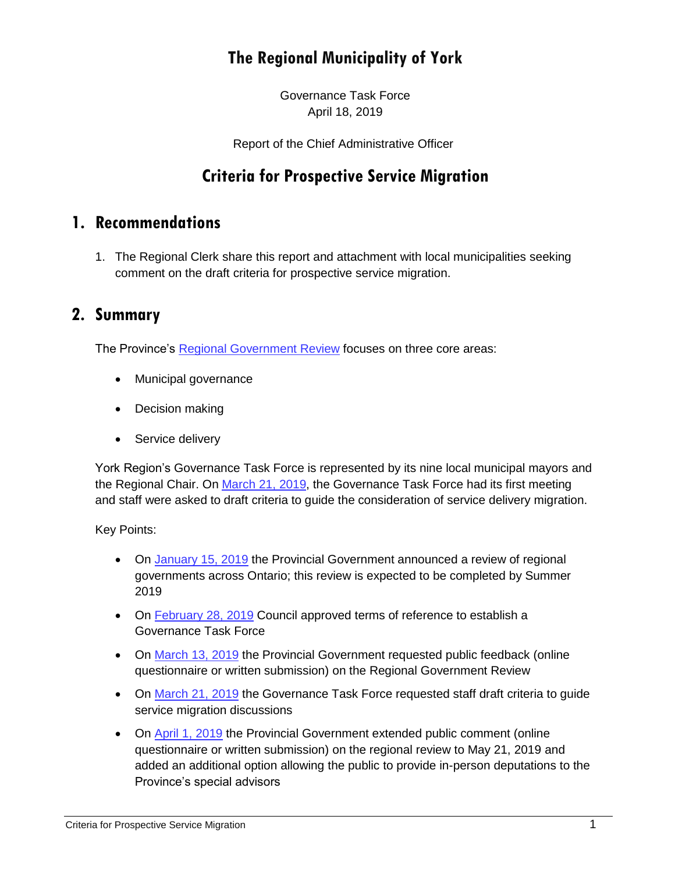# **The Regional Municipality of York**

Governance Task Force April 18, 2019

Report of the Chief Administrative Officer

## **Criteria for Prospective Service Migration**

#### **1. Recommendations**

1. The Regional Clerk share this report and attachment with local municipalities seeking comment on the draft criteria for prospective service migration.

### **2. Summary**

The Province's [Regional Government Review](https://www.ontario.ca/page/regional-government-review) focuses on three core areas:

- Municipal governance
- Decision making
- Service delivery

York Region's Governance Task Force is represented by its nine local municipal mayors and the Regional Chair. On [March 21, 2019,](https://yorkpublishing.escribemeetings.com/Meeting.aspx?Id=20e3066b-80f2-4fdf-808a-051c6a4a6097&Agenda=Merged&lang=English) the Governance Task Force had its first meeting and staff were asked to draft criteria to guide the consideration of service delivery migration.

Key Points:

- On [January 15, 2019](https://news.ontario.ca/mma/en/2019/01/special-advisors-appointed-to-begin-regional-government-review.html) the Provincial Government announced a review of regional governments across Ontario; this review is expected to be completed by Summer 2019
- On [February 28, 2019](https://yorkpublishing.escribemeetings.com/filestream.ashx?DocumentId=3406) Council approved terms of reference to establish a Governance Task Force
- On [March 13, 2019](https://news.ontario.ca/mma/en/2019/03/government-invites-feedback-on-regional-government-review.html) the Provincial Government requested public feedback (online questionnaire or written submission) on the Regional Government Review
- On [March 21, 2019](https://yorkpublishing.escribemeetings.com/Meeting.aspx?Id=20e3066b-80f2-4fdf-808a-051c6a4a6097&Agenda=Merged&lang=English) the Governance Task Force requested staff draft criteria to quide service migration discussions
- On [April 1, 2019](https://news.ontario.ca/mma/en/2019/4/ontario-invites-public-presentations-on-regional-government-review.html) the Provincial Government extended public comment (online questionnaire or written submission) on the regional review to May 21, 2019 and added an additional option allowing the public to provide in-person deputations to the Province's special advisors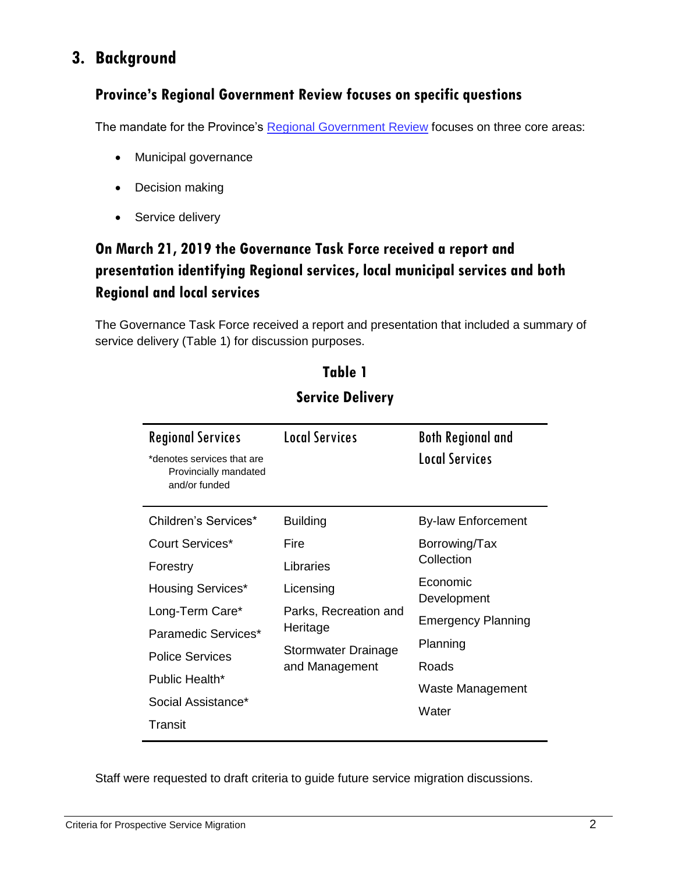# **3. Background**

## **Province's Regional Government Review focuses on specific questions**

The mandate for the Province's [Regional Government Review](https://www.ontario.ca/page/regional-government-review) focuses on three core areas:

- Municipal governance
- Decision making
- Service delivery

## **On March 21, 2019 the Governance Task Force received a report and presentation identifying Regional services, local municipal services and both Regional and local services**

The Governance Task Force received a report and presentation that included a summary of service delivery (Table 1) for discussion purposes.

| <b>Regional Services</b><br>*denotes services that are<br>Provincially mandated<br>and/or funded | <b>Local Services</b>                                                      | <b>Both Regional and</b><br><b>Local Services</b> |
|--------------------------------------------------------------------------------------------------|----------------------------------------------------------------------------|---------------------------------------------------|
| Children's Services*                                                                             | <b>Building</b>                                                            | <b>By-law Enforcement</b>                         |
| Court Services*                                                                                  | Fire                                                                       | Borrowing/Tax<br>Collection                       |
| Forestry                                                                                         | Libraries                                                                  |                                                   |
| <b>Housing Services*</b>                                                                         | Licensing                                                                  | Economic<br>Development                           |
| Long-Term Care*                                                                                  | Parks, Recreation and<br>Heritage<br>Stormwater Drainage<br>and Management | <b>Emergency Planning</b>                         |
| Paramedic Services*                                                                              |                                                                            |                                                   |
| <b>Police Services</b>                                                                           |                                                                            | Planning                                          |
| Public Health*                                                                                   |                                                                            | Roads                                             |
| Social Assistance*                                                                               |                                                                            | Waste Management                                  |
| Transit                                                                                          |                                                                            | Water                                             |

## **Table 1 Service Delivery**

Staff were requested to draft criteria to guide future service migration discussions.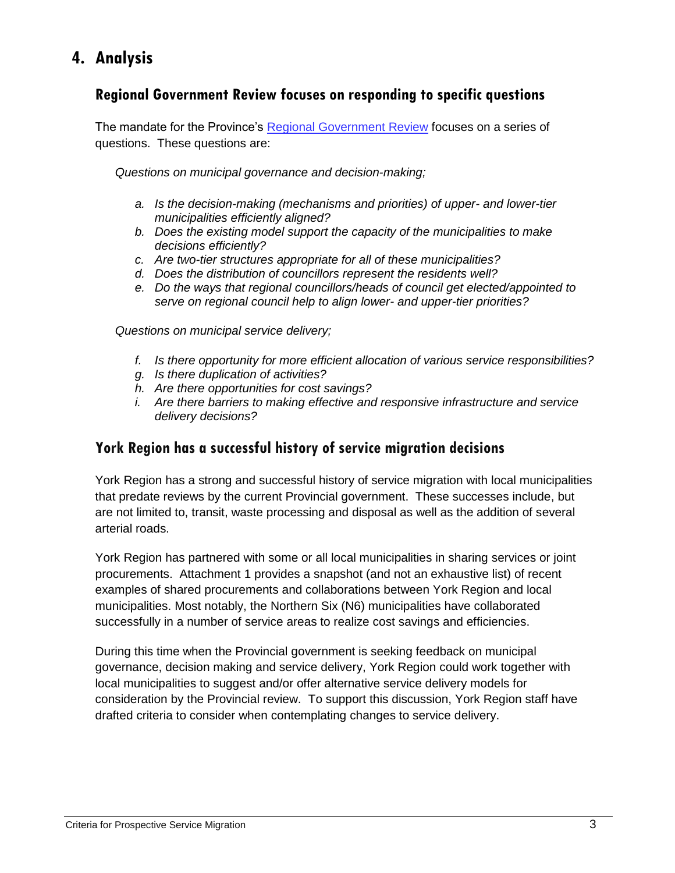# **4. Analysis**

#### **Regional Government Review focuses on responding to specific questions**

The mandate for the Province's [Regional Government Review](https://www.ontario.ca/page/regional-government-review) focuses on a series of questions. These questions are:

*Questions on municipal governance and decision-making;*

- *a. Is the decision-making (mechanisms and priorities) of upper- and lower-tier municipalities efficiently aligned?*
- *b. Does the existing model support the capacity of the municipalities to make decisions efficiently?*
- *c. Are two-tier structures appropriate for all of these municipalities?*
- *d. Does the distribution of councillors represent the residents well?*
- *e. Do the ways that regional councillors/heads of council get elected/appointed to serve on regional council help to align lower- and upper-tier priorities?*

*Questions on municipal service delivery;*

- *f. Is there opportunity for more efficient allocation of various service responsibilities?*
- *g. Is there duplication of activities?*
- *h. Are there opportunities for cost savings?*
- *i. Are there barriers to making effective and responsive infrastructure and service delivery decisions?*

#### **York Region has a successful history of service migration decisions**

York Region has a strong and successful history of service migration with local municipalities that predate reviews by the current Provincial government. These successes include, but are not limited to, transit, waste processing and disposal as well as the addition of several arterial roads.

York Region has partnered with some or all local municipalities in sharing services or joint procurements. Attachment 1 provides a snapshot (and not an exhaustive list) of recent examples of shared procurements and collaborations between York Region and local municipalities. Most notably, the Northern Six (N6) municipalities have collaborated successfully in a number of service areas to realize cost savings and efficiencies.

During this time when the Provincial government is seeking feedback on municipal governance, decision making and service delivery, York Region could work together with local municipalities to suggest and/or offer alternative service delivery models for consideration by the Provincial review. To support this discussion, York Region staff have drafted criteria to consider when contemplating changes to service delivery.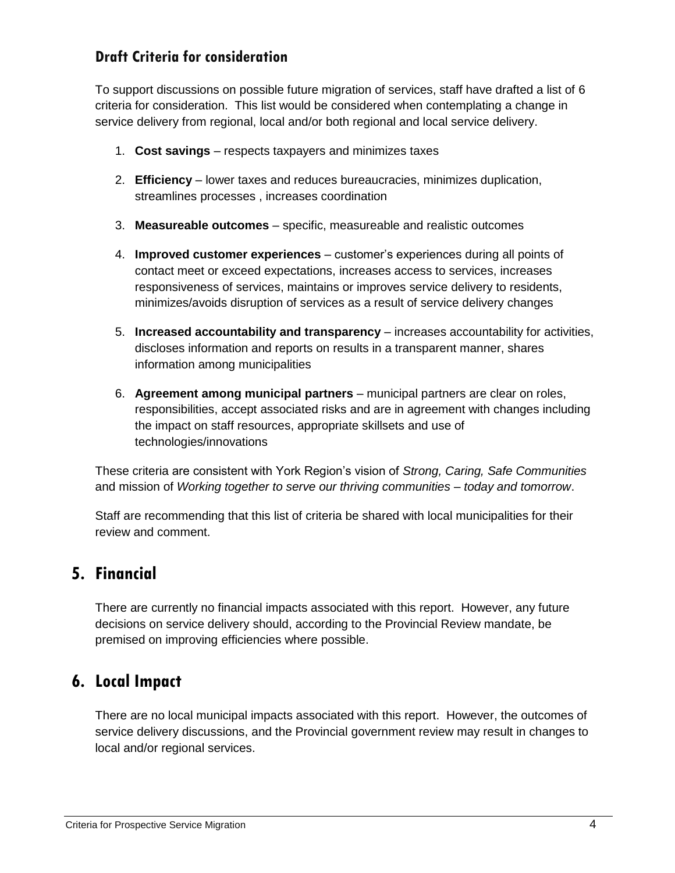#### **Draft Criteria for consideration**

To support discussions on possible future migration of services, staff have drafted a list of 6 criteria for consideration. This list would be considered when contemplating a change in service delivery from regional, local and/or both regional and local service delivery.

- 1. **Cost savings** respects taxpayers and minimizes taxes
- 2. **Efficiency** lower taxes and reduces bureaucracies, minimizes duplication, streamlines processes , increases coordination
- 3. **Measureable outcomes** specific, measureable and realistic outcomes
- 4. **Improved customer experiences** customer's experiences during all points of contact meet or exceed expectations, increases access to services, increases responsiveness of services, maintains or improves service delivery to residents, minimizes/avoids disruption of services as a result of service delivery changes
- 5. **Increased accountability and transparency** increases accountability for activities, discloses information and reports on results in a transparent manner, shares information among municipalities
- 6. **Agreement among municipal partners** municipal partners are clear on roles, responsibilities, accept associated risks and are in agreement with changes including the impact on staff resources, appropriate skillsets and use of technologies/innovations

These criteria are consistent with York Region's vision of *Strong, Caring, Safe Communities* and mission of *Working together to serve our thriving communities – today and tomorrow*.

Staff are recommending that this list of criteria be shared with local municipalities for their review and comment.

## **5. Financial**

There are currently no financial impacts associated with this report. However, any future decisions on service delivery should, according to the Provincial Review mandate, be premised on improving efficiencies where possible.

## **6. Local Impact**

There are no local municipal impacts associated with this report. However, the outcomes of service delivery discussions, and the Provincial government review may result in changes to local and/or regional services.